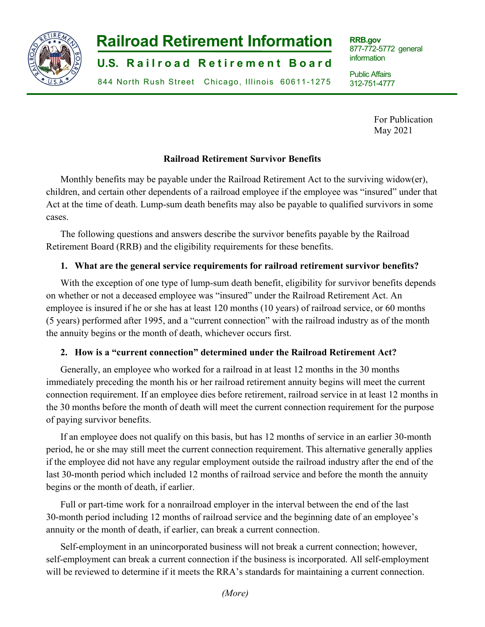

# **-1- Railroad Retirement Information**

**U.S. Railroad Retirement Board** 

844 North Rush Street Chicago, Illinois 60611-1275

**RRB.gov** 877-772-5772 general information

Public Affairs 312-751-4777

> For Publication May 2021

j

# **Railroad Retirement Survivor Benefits**

Monthly benefits may be payable under the Railroad Retirement Act to the surviving widow(er), children, and certain other dependents of a railroad employee if the employee was "insured" under that Act at the time of death. Lump-sum death benefits may also be payable to qualified survivors in some cases.

The following questions and answers describe the survivor benefits payable by the Railroad Retirement Board (RRB) and the eligibility requirements for these benefits.

# **1. What are the general service requirements for railroad retirement survivor benefits?**

With the exception of one type of lump-sum death benefit, eligibility for survivor benefits depends on whether or not a deceased employee was "insured" under the Railroad Retirement Act. An employee is insured if he or she has at least 120 months (10 years) of railroad service, or 60 months (5 years) performed after 1995, and a "current connection" with the railroad industry as of the month the annuity begins or the month of death, whichever occurs first.

# **2. How is a "current connection" determined under the Railroad Retirement Act?**

Generally, an employee who worked for a railroad in at least 12 months in the 30 months immediately preceding the month his or her railroad retirement annuity begins will meet the current connection requirement. If an employee dies before retirement, railroad service in at least 12 months in the 30 months before the month of death will meet the current connection requirement for the purpose of paying survivor benefits.

If an employee does not qualify on this basis, but has 12 months of service in an earlier 30-month period, he or she may still meet the current connection requirement. This alternative generally applies if the employee did not have any regular employment outside the railroad industry after the end of the last 30-month period which included 12 months of railroad service and before the month the annuity begins or the month of death, if earlier.

Full or part-time work for a nonrailroad employer in the interval between the end of the last 30-month period including 12 months of railroad service and the beginning date of an employee's annuity or the month of death, if earlier, can break a current connection.

Self-employment in an unincorporated business will not break a current connection; however, self-employment can break a current connection if the business is incorporated. All self-employment will be reviewed to determine if it meets the RRA's standards for maintaining a current connection.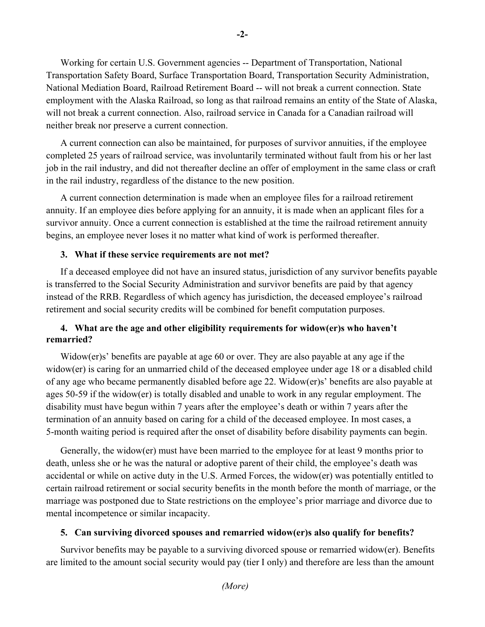Working for certain U.S. Government agencies -- Department of Transportation, National Transportation Safety Board, Surface Transportation Board, Transportation Security Administration, National Mediation Board, Railroad Retirement Board -- will not break a current connection. State employment with the Alaska Railroad, so long as that railroad remains an entity of the State of Alaska, will not break a current connection. Also, railroad service in Canada for a Canadian railroad will neither break nor preserve a current connection.

A current connection can also be maintained, for purposes of survivor annuities, if the employee completed 25 years of railroad service, was involuntarily terminated without fault from his or her last job in the rail industry, and did not thereafter decline an offer of employment in the same class or craft in the rail industry, regardless of the distance to the new position.

A current connection determination is made when an employee files for a railroad retirement annuity. If an employee dies before applying for an annuity, it is made when an applicant files for a survivor annuity. Once a current connection is established at the time the railroad retirement annuity begins, an employee never loses it no matter what kind of work is performed thereafter.

## **3. What if these service requirements are not met?**

If a deceased employee did not have an insured status, jurisdiction of any survivor benefits payable is transferred to the Social Security Administration and survivor benefits are paid by that agency instead of the RRB. Regardless of which agency has jurisdiction, the deceased employee's railroad retirement and social security credits will be combined for benefit computation purposes.

# **4. What are the age and other eligibility requirements for widow(er)s who haven't remarried?**

Widow(er)s' benefits are payable at age 60 or over. They are also payable at any age if the widow(er) is caring for an unmarried child of the deceased employee under age 18 or a disabled child of any age who became permanently disabled before age 22. Widow(er)s' benefits are also payable at ages 50-59 if the widow(er) is totally disabled and unable to work in any regular employment. The disability must have begun within 7 years after the employee's death or within 7 years after the termination of an annuity based on caring for a child of the deceased employee. In most cases, a 5-month waiting period is required after the onset of disability before disability payments can begin.

Generally, the widow(er) must have been married to the employee for at least 9 months prior to death, unless she or he was the natural or adoptive parent of their child, the employee's death was accidental or while on active duty in the U.S. Armed Forces, the widow(er) was potentially entitled to certain railroad retirement or social security benefits in the month before the month of marriage, or the marriage was postponed due to State restrictions on the employee's prior marriage and divorce due to mental incompetence or similar incapacity.

## **5. Can surviving divorced spouses and remarried widow(er)s also qualify for benefits?**

Survivor benefits may be payable to a surviving divorced spouse or remarried widow(er). Benefits are limited to the amount social security would pay (tier I only) and therefore are less than the amount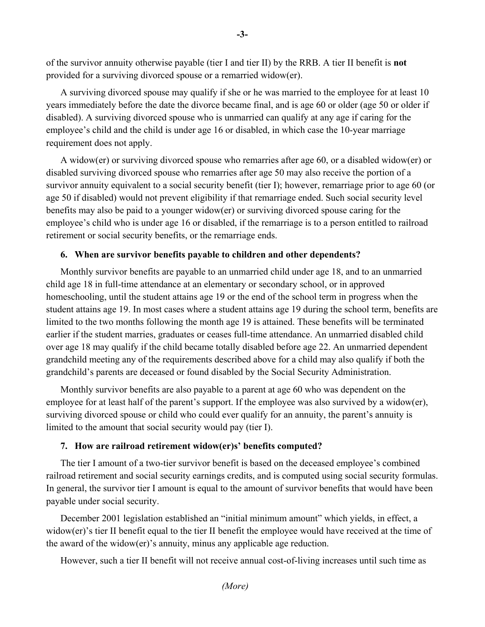of the survivor annuity otherwise payable (tier I and tier II) by the RRB. A tier II benefit is **not** provided for a surviving divorced spouse or a remarried widow(er).

A surviving divorced spouse may qualify if she or he was married to the employee for at least 10 years immediately before the date the divorce became final, and is age 60 or older (age 50 or older if disabled). A surviving divorced spouse who is unmarried can qualify at any age if caring for the employee's child and the child is under age 16 or disabled, in which case the 10-year marriage requirement does not apply.

A widow(er) or surviving divorced spouse who remarries after age 60, or a disabled widow(er) or disabled surviving divorced spouse who remarries after age 50 may also receive the portion of a survivor annuity equivalent to a social security benefit (tier I); however, remarriage prior to age 60 (or age 50 if disabled) would not prevent eligibility if that remarriage ended. Such social security level benefits may also be paid to a younger widow(er) or surviving divorced spouse caring for the employee's child who is under age 16 or disabled, if the remarriage is to a person entitled to railroad retirement or social security benefits, or the remarriage ends.

#### **6. When are survivor benefits payable to children and other dependents?**

Monthly survivor benefits are payable to an unmarried child under age 18, and to an unmarried child age 18 in full-time attendance at an elementary or secondary school, or in approved homeschooling, until the student attains age 19 or the end of the school term in progress when the student attains age 19. In most cases where a student attains age 19 during the school term, benefits are limited to the two months following the month age 19 is attained. These benefits will be terminated earlier if the student marries, graduates or ceases full-time attendance. An unmarried disabled child over age 18 may qualify if the child became totally disabled before age 22. An unmarried dependent grandchild meeting any of the requirements described above for a child may also qualify if both the grandchild's parents are deceased or found disabled by the Social Security Administration.

Monthly survivor benefits are also payable to a parent at age 60 who was dependent on the employee for at least half of the parent's support. If the employee was also survived by a widow(er), surviving divorced spouse or child who could ever qualify for an annuity, the parent's annuity is limited to the amount that social security would pay (tier I).

#### **7. How are railroad retirement widow(er)s' benefits computed?**

The tier I amount of a two-tier survivor benefit is based on the deceased employee's combined railroad retirement and social security earnings credits, and is computed using social security formulas. In general, the survivor tier I amount is equal to the amount of survivor benefits that would have been payable under social security.

December 2001 legislation established an "initial minimum amount" which yields, in effect, a widow(er)'s tier II benefit equal to the tier II benefit the employee would have received at the time of the award of the widow(er)'s annuity, minus any applicable age reduction.

However, such a tier II benefit will not receive annual cost-of-living increases until such time as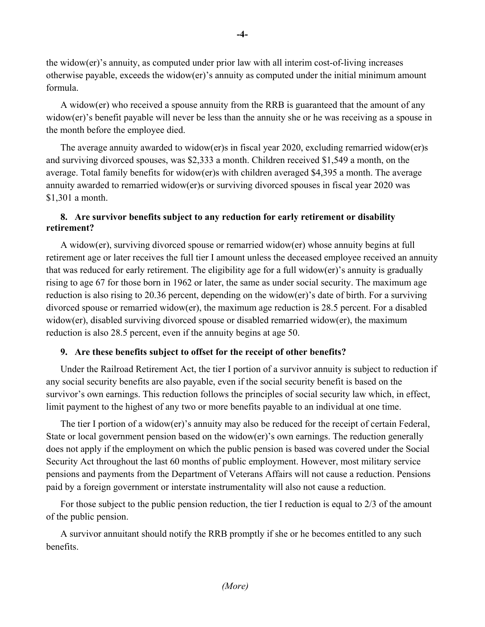the widow(er)'s annuity, as computed under prior law with all interim cost-of-living increases otherwise payable, exceeds the widow(er)'s annuity as computed under the initial minimum amount formula.

A widow(er) who received a spouse annuity from the RRB is guaranteed that the amount of any widow(er)'s benefit payable will never be less than the annuity she or he was receiving as a spouse in the month before the employee died.

The average annuity awarded to widow(er)s in fiscal year 2020, excluding remarried widow(er)s and surviving divorced spouses, was \$2,333 a month. Children received \$1,549 a month, on the average. Total family benefits for widow(er)s with children averaged \$4,395 a month. The average annuity awarded to remarried widow(er)s or surviving divorced spouses in fiscal year 2020 was \$1,301 a month.

# **8. Are survivor benefits subject to any reduction for early retirement or disability retirement?**

A widow(er), surviving divorced spouse or remarried widow(er) whose annuity begins at full retirement age or later receives the full tier I amount unless the deceased employee received an annuity that was reduced for early retirement. The eligibility age for a full widow(er)'s annuity is gradually rising to age 67 for those born in 1962 or later, the same as under social security. The maximum age reduction is also rising to 20.36 percent, depending on the widow(er)'s date of birth. For a surviving divorced spouse or remarried widow(er), the maximum age reduction is 28.5 percent. For a disabled widow(er), disabled surviving divorced spouse or disabled remarried widow(er), the maximum reduction is also 28.5 percent, even if the annuity begins at age 50.

## **9. Are these benefits subject to offset for the receipt of other benefits?**

Under the Railroad Retirement Act, the tier I portion of a survivor annuity is subject to reduction if any social security benefits are also payable, even if the social security benefit is based on the survivor's own earnings. This reduction follows the principles of social security law which, in effect, limit payment to the highest of any two or more benefits payable to an individual at one time.

The tier I portion of a widow(er)'s annuity may also be reduced for the receipt of certain Federal, State or local government pension based on the widow(er)'s own earnings. The reduction generally does not apply if the employment on which the public pension is based was covered under the Social Security Act throughout the last 60 months of public employment. However, most military service pensions and payments from the Department of Veterans Affairs will not cause a reduction. Pensions paid by a foreign government or interstate instrumentality will also not cause a reduction.

For those subject to the public pension reduction, the tier I reduction is equal to 2/3 of the amount of the public pension.

A survivor annuitant should notify the RRB promptly if she or he becomes entitled to any such benefits.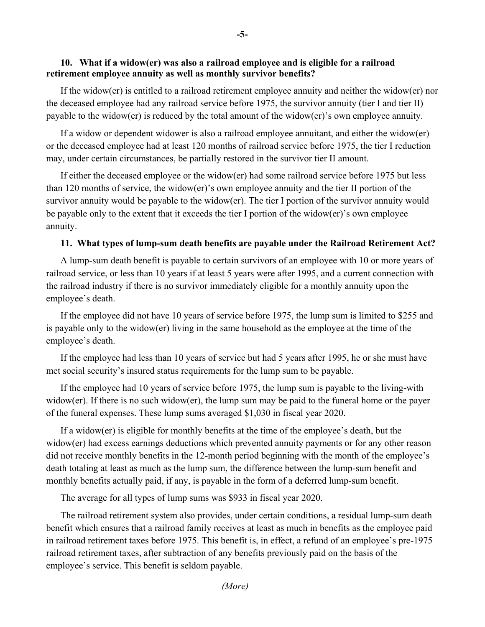## **10. What if a widow(er) was also a railroad employee and is eligible for a railroad retirement employee annuity as well as monthly survivor benefits?**

If the widow(er) is entitled to a railroad retirement employee annuity and neither the widow(er) nor the deceased employee had any railroad service before 1975, the survivor annuity (tier I and tier II) payable to the widow(er) is reduced by the total amount of the widow(er)'s own employee annuity.

If a widow or dependent widower is also a railroad employee annuitant, and either the widow(er) or the deceased employee had at least 120 months of railroad service before 1975, the tier I reduction may, under certain circumstances, be partially restored in the survivor tier II amount.

If either the deceased employee or the widow(er) had some railroad service before 1975 but less than 120 months of service, the widow(er)'s own employee annuity and the tier II portion of the survivor annuity would be payable to the widow(er). The tier I portion of the survivor annuity would be payable only to the extent that it exceeds the tier I portion of the widow(er)'s own employee annuity.

### **11. What types of lump-sum death benefits are payable under the Railroad Retirement Act?**

A lump-sum death benefit is payable to certain survivors of an employee with 10 or more years of railroad service, or less than 10 years if at least 5 years were after 1995, and a current connection with the railroad industry if there is no survivor immediately eligible for a monthly annuity upon the employee's death.

If the employee did not have 10 years of service before 1975, the lump sum is limited to \$255 and is payable only to the widow(er) living in the same household as the employee at the time of the employee's death.

If the employee had less than 10 years of service but had 5 years after 1995, he or she must have met social security's insured status requirements for the lump sum to be payable.

If the employee had 10 years of service before 1975, the lump sum is payable to the living-with widow(er). If there is no such widow(er), the lump sum may be paid to the funeral home or the payer of the funeral expenses. These lump sums averaged \$1,030 in fiscal year 2020.

If a widow(er) is eligible for monthly benefits at the time of the employee's death, but the widow(er) had excess earnings deductions which prevented annuity payments or for any other reason did not receive monthly benefits in the 12-month period beginning with the month of the employee's death totaling at least as much as the lump sum, the difference between the lump-sum benefit and monthly benefits actually paid, if any, is payable in the form of a deferred lump-sum benefit.

The average for all types of lump sums was \$933 in fiscal year 2020.

The railroad retirement system also provides, under certain conditions, a residual lump-sum death benefit which ensures that a railroad family receives at least as much in benefits as the employee paid in railroad retirement taxes before 1975. This benefit is, in effect, a refund of an employee's pre-1975 railroad retirement taxes, after subtraction of any benefits previously paid on the basis of the employee's service. This benefit is seldom payable.